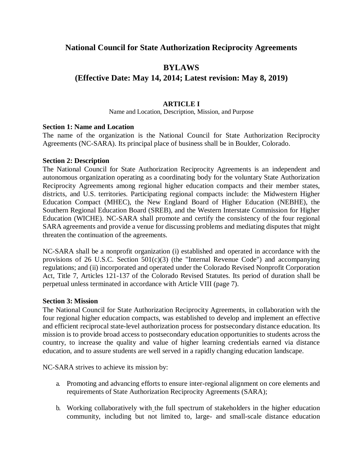# **National Council for State Authorization Reciprocity Agreements**

# **BYLAWS**

# **(Effective Date: May 14, 2014; Latest revision: May 8, 2019)**

# **ARTICLE I**

Name and Location, Description, Mission, and Purpose

#### **Section 1: Name and Location**

The name of the organization is the National Council for State Authorization Reciprocity Agreements (NC-SARA). Its principal place of business shall be in Boulder, Colorado.

#### **Section 2: Description**

The National Council for State Authorization Reciprocity Agreements is an independent and autonomous organization operating as a coordinating body for the voluntary State Authorization Reciprocity Agreements among regional higher education compacts and their member states, districts, and U.S. territories. Participating regional compacts include: the Midwestern Higher Education Compact (MHEC), the New England Board of Higher Education (NEBHE), the Southern Regional Education Board (SREB), and the Western Interstate Commission for Higher Education (WICHE). NC-SARA shall promote and certify the consistency of the four regional SARA agreements and provide a venue for discussing problems and mediating disputes that might threaten the continuation of the agreements.

NC-SARA shall be a nonprofit organization (i) established and operated in accordance with the provisions of 26 U.S.C. Section  $501(c)(3)$  (the "Internal Revenue Code") and accompanying regulations; and (ii) incorporated and operated under the Colorado Revised Nonprofit Corporation Act, Title 7, Articles 121-137 of the Colorado Revised Statutes. Its period of duration shall be perpetual unless terminated in accordance with Article VIII (page 7).

### **Section 3: Mission**

The National Council for State Authorization Reciprocity Agreements, in collaboration with the four regional higher education compacts, was established to develop and implement an effective and efficient reciprocal state-level authorization process for postsecondary distance education. Its mission is to provide broad access to postsecondary education opportunities to students across the country, to increase the quality and value of higher learning credentials earned via distance education, and to assure students are well served in a rapidly changing education landscape.

NC-SARA strives to achieve its mission by:

- a. Promoting and advancing efforts to ensure inter-regional alignment on core elements and requirements of State Authorization Reciprocity Agreements (SARA);
- b. Working collaboratively with the full spectrum of stakeholders in the higher education community, including but not limited to, large- and small-scale distance education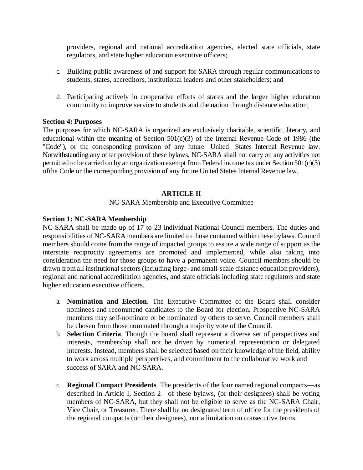providers, regional and national accreditation agencies, elected state officials, state regulators, and state higher education executive officers;

- c. Building public awareness of and support for SARA through regular communications to students, states, accreditors, institutional leaders and other stakeholders; and
- d. Participating actively in cooperative efforts of states and the larger higher education community to improve service to students and the nation through distance education.

### **Section 4: Purposes**

The purposes for which NC-SARA is organized are exclusively charitable, scientific, literary, and educational within the meaning of Section  $501(c)(3)$  of the Internal Revenue Code of 1986 (the "Code"), or the corresponding provision of any future United States Internal Revenue law. Notwithstanding any other provision of these bylaws, NC-SARA shall not carry on any activities not permitted to be carried on by an organization exempt from Federal income tax under Section 501(c)(3) ofthe Code or the corresponding provision of any future United States Internal Revenue law.

#### **ARTICLE II**

#### NC-SARA Membership and Executive Committee

#### **Section 1: NC-SARA Membership**

NC-SARA shall be made up of 17 to 23 individual National Council members. The duties and responsibilities of NC-SARA members are limited to those contained within these bylaws. Council members should come from the range of impacted groups to assure a wide range of support as the interstate reciprocity agreements are promoted and implemented, while also taking into consideration the need for those groups to have a permanent voice. Council members should be drawn from all institutional sectors (including large- and small-scale distance education providers), regional and national accreditation agencies, and state officials including state regulators and state higher education executive officers.

- a. **Nomination and Election**. The Executive Committee of the Board shall consider nominees and recommend candidates to the Board for election. Prospective NC-SARA members may self-nominate or be nominated by others to serve. Council members shall be chosen from those nominated through a majority vote of the Council.
- b. **Selection Criteria**. Though the board shall represent a diverse set of perspectives and interests, membership shall not be driven by numerical representation or delegated interests. Instead, members shall be selected based on their knowledge of the field, ability to work across multiple perspectives, and commitment to the collaborative work and success of SARA and NC-SARA.
- c. **Regional Compact Presidents**. The presidents of the four named regional compacts—as described in Article I, Section 2—of these bylaws, (or their designees) shall be voting members of NC-SARA, but they shall not be eligible to serve as the NC-SARA Chair, Vice Chair, or Treasurer. There shall be no designated term of office for the presidents of the regional compacts (or their designees), nor a limitation on consecutive terms.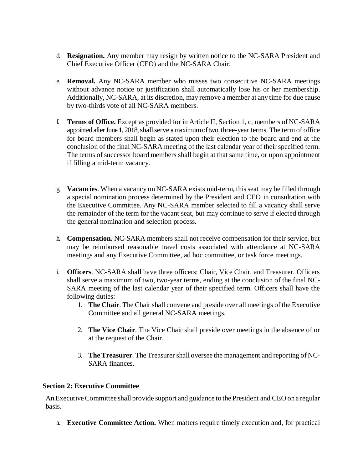- d. **Resignation.** Any member may resign by written notice to the NC-SARA President and Chief Executive Officer (CEO) and the NC-SARA Chair.
- e. **Removal.** Any NC-SARA member who misses two consecutive NC-SARA meetings without advance notice or justification shall automatically lose his or her membership. Additionally, NC-SARA, at its discretion, may remove a member at any time for due cause by two-thirds vote of all NC-SARA members.
- f. **Terms of Office.** Except as provided for in Article II, Section 1, c, members of NC-SARA appointed after June 1, 2018, shall serve a maximum of two, three-year terms. The term of office for board members shall begin as stated upon their election to the board and end at the conclusion of the final NC-SARA meeting of the last calendar year of their specified term. The terms of successor board members shall begin at that same time, or upon appointment if filling a mid-term vacancy.
- g. **Vacancies**. When a vacancy on NC-SARA exists mid-term, thisseat may be filled through a special nomination process determined by the President and CEO in consultation with the Executive Committee. Any NC-SARA member selected to fill a vacancy shall serve the remainder of the term for the vacant seat, but may continue to serve if elected through the general nomination and selection process.
- h. **Compensation.** NC-SARA members shall not receive compensation for their service, but may be reimbursed reasonable travel costs associated with attendance at NC-SARA meetings and any Executive Committee, ad hoc committee, or task force meetings.
- i. **Officers**. NC-SARA shall have three officers: Chair, Vice Chair, and Treasurer. Officers shall serve a maximum of two, two-year terms, ending at the conclusion of the final NC-SARA meeting of the last calendar year of their specified term. Officers shall have the following duties:
	- 1. **The Chair**. The Chair shall convene and preside over all meetings of the Executive Committee and all general NC-SARA meetings.
	- 2. **The Vice Chair**. The Vice Chair shall preside over meetings in the absence of or at the request of the Chair.
	- 3. **The Treasurer**. The Treasurer shall oversee the management and reporting of NC-SARA finances.

# **Section 2: Executive Committee**

An Executive Committee shall provide support and guidance to the President and CEO on a regular basis.

a. **Executive Committee Action.** When matters require timely execution and, for practical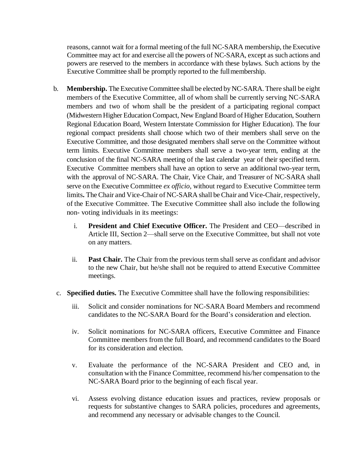reasons, cannot wait for a formal meeting of the full NC-SARA membership, the Executive Committee may act for and exercise all the powers of NC-SARA, except as such actions and powers are reserved to the members in accordance with these bylaws. Such actions by the Executive Committee shall be promptly reported to the fullmembership.

- b. **Membership.** The Executive Committee shall be elected byNC-SARA. There shall be eight members of the Executive Committee, all of whom shall be currently serving NC-SARA members and two of whom shall be the president of a participating regional compact (Midwestern Higher Education Compact, New England Board of Higher Education, Southern Regional Education Board, Western Interstate Commission for Higher Education). The four regional compact presidents shall choose which two of their members shall serve on the Executive Committee, and those designated members shall serve on the Committee without term limits. Executive Committee members shall serve a two-year term, ending at the conclusion of the final NC-SARA meeting of the last calendar year of their specified term. Executive Committee members shall have an option to serve an additional two-year term, with the approval of NC-SARA. The Chair, Vice Chair, and Treasurer of NC-SARA shall serve on the Executive Committee *ex officio,* without regard to Executive Committee term limits**.** The Chair and Vice-Chair of NC-SARA shall be Chair and Vice-Chair, respectively, of the Executive Committee. The Executive Committee shall also include the following non- voting individuals in its meetings:
	- i. **President and Chief Executive Officer.** The President and CEO—described in Article III, Section 2—shall serve on the Executive Committee, but shall not vote on any matters.
	- ii. **Past Chair.** The Chair from the previous term shall serve as confidant and advisor to the new Chair, but he/she shall not be required to attend Executive Committee meetings.
- c. **Specified duties.** The Executive Committee shall have the following responsibilities:
	- iii. Solicit and consider nominations for NC-SARA Board Members and recommend candidates to the NC-SARA Board for the Board's consideration and election.
	- iv. Solicit nominations for NC-SARA officers, Executive Committee and Finance Committee members from the full Board, and recommend candidates to the Board for its consideration and election.
	- v. Evaluate the performance of the NC-SARA President and CEO and, in consultation with the Finance Committee, recommend his/her compensation to the NC-SARA Board prior to the beginning of each fiscal year.
	- vi. Assess evolving distance education issues and practices, review proposals or requests for substantive changes to SARA policies, procedures and agreements, and recommend any necessary or advisable changes to the Council.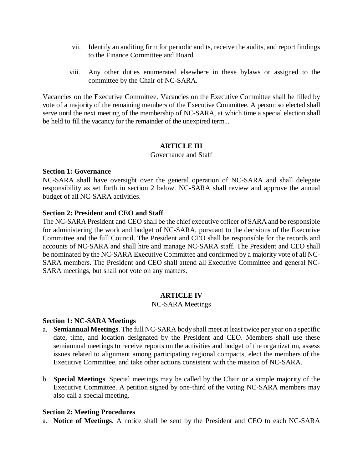- vii. Identify an auditing firm for periodic audits, receive the audits, and report findings to the Finance Committee and Board.
- viii. Any other duties enumerated elsewhere in these bylaws or assigned to the committee by the Chair of NC-SARA.

Vacancies on the Executive Committee. Vacancies on the Executive Committee shall be filled by vote of a majority of the remaining members of the Executive Committee. A person so elected shall serve until the next meeting of the membership of NC-SARA, at which time a special election shall be held to fill the vacancy for the remainder of the unexpired term...

### **ARTICLE III**

#### Governance and Staff

### **Section 1: Governance**

NC-SARA shall have oversight over the general operation of NC-SARA and shall delegate responsibility as set forth in section 2 below. NC-SARA shall review and approve the annual budget of all NC-SARA activities.

### **Section 2: President and CEO and Staff**

The NC-SARA President and CEO shall be the chief executive officer of SARA and be responsible for administering the work and budget of NC-SARA, pursuant to the decisions of the Executive Committee and the full Council. The President and CEO shall be responsible for the records and accounts of NC-SARA and shall hire and manage NC-SARA staff. The President and CEO shall be nominated by the NC-SARA Executive Committee and confirmed by a majority vote of all NC-SARA members. The President and CEO shall attend all Executive Committee and general NC-SARA meetings, but shall not vote on any matters.

### **ARTICLE IV**

### NC-SARA Meetings

#### **Section 1: NC-SARA Meetings**

- a. **Semiannual Meetings**. The full NC-SARA body shall meet at least twice per year on a specific date, time, and location designated by the President and CEO. Members shall use these semiannual meetings to receive reports on the activities and budget of the organization, assess issues related to alignment among participating regional compacts, elect the members of the Executive Committee, and take other actions consistent with the mission of NC-SARA.
- b. **Special Meetings**. Special meetings may be called by the Chair or a simple majority of the Executive Committee. A petition signed by one-third of the voting NC-SARA members may also call a special meeting.

### **Section 2: Meeting Procedures**

a. **Notice of Meetings**. A notice shall be sent by the President and CEO to each NC-SARA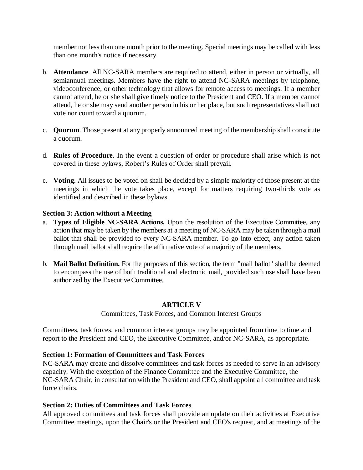member not less than one month prior to the meeting. Special meetings may be called with less than one month's notice if necessary.

- b. **Attendance**. All NC-SARA members are required to attend, either in person or virtually, all semiannual meetings. Members have the right to attend NC-SARA meetings by telephone, videoconference, or other technology that allows for remote access to meetings. If a member cannot attend, he or she shall give timely notice to the President and CEO. If a member cannot attend, he or she may send another person in his or her place, but such representatives shall not vote nor count toward a quorum.
- c. **Quorum**. Those present at any properly announced meeting of the membership shall constitute a quorum.
- d. **Rules of Procedure**. In the event a question of order or procedure shall arise which is not covered in these bylaws, Robert's Rules of Order shall prevail.
- e. **Voting**. All issues to be voted on shall be decided by a simple majority of those present at the meetings in which the vote takes place, except for matters requiring two-thirds vote as identified and described in these bylaws.

# **Section 3: Action without a Meeting**

- a. **Types of Eligible NC-SARA Actions.** Upon the resolution of the Executive Committee, any action that may be taken by the members at a meeting of NC-SARA may be taken through a mail ballot that shall be provided to every NC-SARA member. To go into effect, any action taken through mail ballot shall require the affirmative vote of a majority of the members.
- b. **Mail Ballot Definition.** For the purposes of this section, the term "mail ballot" shall be deemed to encompass the use of both traditional and electronic mail, provided such use shall have been authorized by the Executive Committee.

# **ARTICLE V**

Committees, Task Forces, and Common Interest Groups

Committees, task forces, and common interest groups may be appointed from time to time and report to the President and CEO, the Executive Committee, and/or NC-SARA, as appropriate.

### **Section 1: Formation of Committees and Task Forces**

NC-SARA may create and dissolve committees and task forces as needed to serve in an advisory capacity. With the exception of the Finance Committee and the Executive Committee, the NC-SARA Chair, in consultation with the President and CEO, shall appoint all committee and task force chairs.

## **Section 2: Duties of Committees and Task Forces**

All approved committees and task forces shall provide an update on their activities at Executive Committee meetings, upon the Chair's or the President and CEO's request, and at meetings of the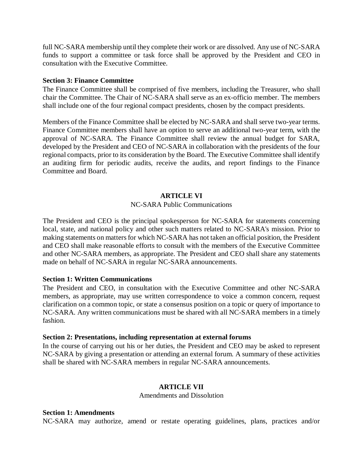full NC-SARA membership until they complete their work or are dissolved. Any use of NC-SARA funds to support a committee or task force shall be approved by the President and CEO in consultation with the Executive Committee.

#### **Section 3: Finance Committee**

The Finance Committee shall be comprised of five members, including the Treasurer, who shall chair the Committee. The Chair of NC-SARA shall serve as an ex-officio member. The members shall include one of the four regional compact presidents, chosen by the compact presidents.

Members of the Finance Committee shall be elected by NC-SARA and shall serve two-year terms. Finance Committee members shall have an option to serve an additional two-year term, with the approval of NC-SARA. The Finance Committee shall review the annual budget for SARA, developed by the President and CEO of NC-SARA in collaboration with the presidents of the four regional compacts, prior to its consideration by the Board. The Executive Committee shall identify an auditing firm for periodic audits, receive the audits, and report findings to the Finance Committee and Board.

### **ARTICLE VI**

### NC-SARA Public Communications

The President and CEO is the principal spokesperson for NC-SARA for statements concerning local, state, and national policy and other such matters related to NC-SARA's mission. Prior to making statements on matters for which NC-SARA has not taken an official position, the President and CEO shall make reasonable efforts to consult with the members of the Executive Committee and other NC-SARA members, as appropriate. The President and CEO shall share any statements made on behalf of NC-SARA in regular NC-SARA announcements.

### **Section 1: Written Communications**

The President and CEO, in consultation with the Executive Committee and other NC-SARA members, as appropriate, may use written correspondence to voice a common concern, request clarification on a common topic, or state a consensus position on a topic or query of importance to NC-SARA. Any written communications must be shared with all NC-SARA members in a timely fashion.

#### **Section 2: Presentations, including representation at external forums**

In the course of carrying out his or her duties, the President and CEO may be asked to represent NC-SARA by giving a presentation or attending an external forum. A summary of these activities shall be shared with NC-SARA members in regular NC-SARA announcements.

# **ARTICLE VII**

Amendments and Dissolution

#### **Section 1: Amendments**

NC-SARA may authorize, amend or restate operating guidelines, plans, practices and/or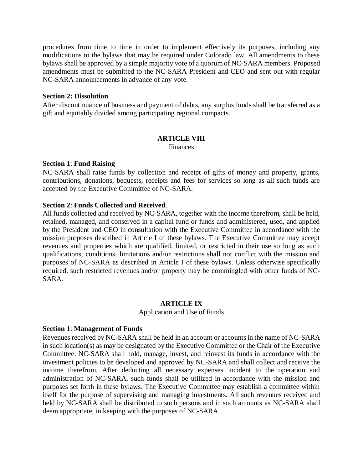procedures from time to time in order to implement effectively its purposes, including any modifications to the bylaws that may be required under Colorado law. All amendments to these bylaws shall be approved by a simple majority vote of a quorum of NC-SARA members. Proposed amendments must be submitted to the NC-SARA President and CEO and sent out with regular NC-SARA announcements in advance of any vote.

#### **Section 2: Dissolution**

After discontinuance of business and payment of debts, any surplus funds shall be transferred as a gift and equitably divided among participating regional compacts.

#### **ARTICLE VIII**

Finances

### **Section 1**: **Fund Raising**

NC-SARA shall raise funds by collection and receipt of gifts of money and property, grants, contributions, donations, bequests, receipts and fees for services so long as all such funds are accepted by the Executive Committee of NC-SARA.

#### **Section 2**: **Funds Collected and Received**.

All funds collected and received by NC-SARA, together with the income therefrom, shall be held, retained, managed, and conserved in a capital fund or funds and administered, used, and applied by the President and CEO in consultation with the Executive Committee in accordance with the mission purposes described in Article I of these bylaws. The Executive Committee may accept revenues and properties which are qualified, limited, or restricted in their use so long as such qualifications, conditions, limitations and/or restrictions shall not conflict with the mission and purposes of NC-SARA as described in Article I of these bylaws. Unless otherwise specifically required, such restricted revenues and/or property may be commingled with other funds of NC-SARA.

#### **ARTICLE IX**

Application and Use of Funds

#### **Section 1**: **Management of Funds**

Revenues received by NC-SARA shall be held in an account or accounts in the name of NC-SARA in such location(s) as may be designated by the Executive Committee or the Chair of the Executive Committee. NC-SARA shall hold, manage, invest, and reinvest its funds in accordance with the investment policies to be developed and approved by NC-SARA and shall collect and receive the income therefrom. After deducting all necessary expenses incident to the operation and administration of NC-SARA, such funds shall be utilized in accordance with the mission and purposes set forth in these bylaws. The Executive Committee may establish a committee within itself for the purpose of supervising and managing investments. All such revenues received and held by NC-SARA shall be distributed to such persons and in such amounts as NC-SARA shall deem appropriate, in keeping with the purposes of NC-SARA.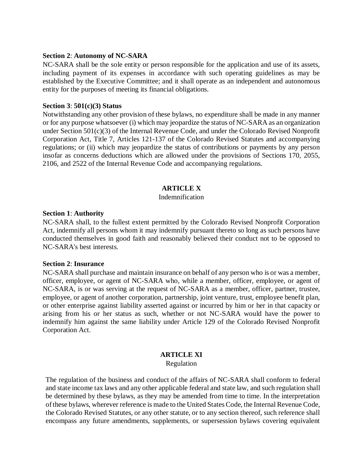#### **Section 2**: **Autonomy of NC-SARA**

NC-SARA shall be the sole entity or person responsible for the application and use of its assets, including payment of its expenses in accordance with such operating guidelines as may be established by the Executive Committee; and it shall operate as an independent and autonomous entity for the purposes of meeting its financial obligations.

### **Section 3**: **501(c)(3) Status**

Notwithstanding any other provision of these bylaws, no expenditure shall be made in any manner or for any purpose whatsoever (i) which may jeopardize the status of NC-SARA as an organization under Section 501(c)(3) of the Internal Revenue Code, and under the Colorado Revised Nonprofit Corporation Act, Title 7, Articles 121-137 of the Colorado Revised Statutes and accompanying regulations; or (ii) which may jeopardize the status of contributions or payments by any person insofar as concerns deductions which are allowed under the provisions of Sections 170, 2055, 2106, and 2522 of the Internal Revenue Code and accompanying regulations.

# **ARTICLE X**

# Indemnification

### **Section 1**: **Authority**

NC-SARA shall, to the fullest extent permitted by the Colorado Revised Nonprofit Corporation Act, indemnify all persons whom it may indemnify pursuant thereto so long as such persons have conducted themselves in good faith and reasonably believed their conduct not to be opposed to NC-SARA's best interests.

### **Section 2**: **Insurance**

NC-SARA shall purchase and maintain insurance on behalf of any person who is or was a member, officer, employee, or agent of NC-SARA who, while a member, officer, employee, or agent of NC-SARA, is or was serving at the request of NC-SARA as a member, officer, partner, trustee, employee, or agent of another corporation, partnership, joint venture, trust, employee benefit plan, or other enterprise against liability asserted against or incurred by him or her in that capacity or arising from his or her status as such, whether or not NC-SARA would have the power to indemnify him against the same liability under Article 129 of the Colorado Revised Nonprofit Corporation Act.

# **ARTICLE XI**

Regulation

The regulation of the business and conduct of the affairs of NC-SARA shall conform to federal and state income tax laws and any other applicable federal and state law, and such regulation shall be determined by these bylaws, as they may be amended from time to time. In the interpretation ofthese bylaws, wherever reference is made to the United States Code, the Internal Revenue Code, the Colorado Revised Statutes, or any other statute, or to any section thereof, such reference shall encompass any future amendments, supplements, or supersession bylaws covering equivalent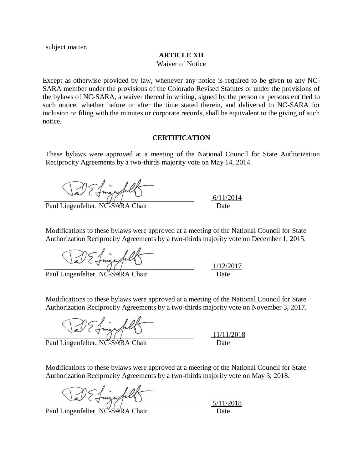subject matter.

#### **ARTICLE XII**

Waiver of Notice

Except as otherwise provided by law, whenever any notice is required to be given to any NC-SARA member under the provisions of the Colorado Revised Statutes or under the provisions of the bylaws of NC-SARA, a waiver thereof in writing, signed by the person or persons entitled to such notice, whether before or after the time stated therein, and delivered to NC-SARA for inclusion or filing with the minutes or corporate records, shall be equivalent to the giving of such notice.

#### **CERTIFICATION**

These bylaws were approved at a meeting of the National Council for State Authorization Reciprocity Agreements by a two-thirds majority vote on May 14, 2014.

Val E finga fills

Paul Lingenfelter, NC-SXRA Chair Date

 $6/11/2014$ 

1/12/2017

Modifications to these bylaws were approved at a meeting of the National Council for State Authorization Reciprocity Agreements by a two-thirds majority vote on December 1, 2015.

Jal E fingafil

Paul Lingenfelter, NC-SARA Chair

Modifications to these bylaws were approved at a meeting of the National Council for State Authorization Reciprocity Agreements by a two-thirds majority vote on November 3, 2017.

DE Lingafills

Paul Lingenfelter, NC-SARA Chair

11/11/2018

Modifications to these bylaws were approved at a meeting of the National Council for State Authorization Reciprocity Agreements by a two-thirds majority vote on May 3, 2018.

Ja E Lingafil

Paul Lingenfelter, NC-SARA Chair

5/11/2018